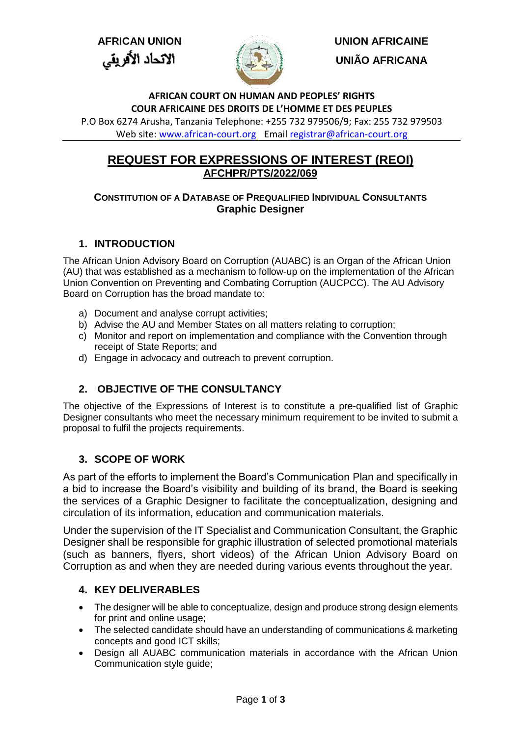الاتحاد الأفريقي



**AFRICAN UNION UNION AFRICAINE UNIÃO AFRICANA**

### **AFRICAN COURT ON HUMAN AND PEOPLES' RIGHTS COUR AFRICAINE DES DROITS DE L'HOMME ET DES PEUPLES**

P.O Box 6274 Arusha, Tanzania Telephone: +255 732 979506/9; Fax: 255 732 979503 Web site: [www.african-court.org](http://www.african-court.org/)Email [registrar@african-court.org](mailto:registrar@african-court.org)

# **REQUEST FOR EXPRESSIONS OF INTEREST (REOI) AFCHPR/PTS/2022/069**

## **CONSTITUTION OF A DATABASE OF PREQUALIFIED INDIVIDUAL CONSULTANTS Graphic Designer**

# **1. INTRODUCTION**

The African Union Advisory Board on Corruption (AUABC) is an Organ of the African Union (AU) that was established as a mechanism to follow-up on the implementation of the African Union Convention on Preventing and Combating Corruption (AUCPCC). The AU Advisory Board on Corruption has the broad mandate to:

- a) Document and analyse corrupt activities;
- b) Advise the AU and Member States on all matters relating to corruption;
- c) Monitor and report on implementation and compliance with the Convention through receipt of State Reports; and
- d) Engage in advocacy and outreach to prevent corruption.

# **2. OBJECTIVE OF THE CONSULTANCY**

The objective of the Expressions of Interest is to constitute a pre-qualified list of Graphic Designer consultants who meet the necessary minimum requirement to be invited to submit a proposal to fulfil the projects requirements.

## **3. SCOPE OF WORK**

As part of the efforts to implement the Board's Communication Plan and specifically in a bid to increase the Board's visibility and building of its brand, the Board is seeking the services of a Graphic Designer to facilitate the conceptualization, designing and circulation of its information, education and communication materials.

Under the supervision of the IT Specialist and Communication Consultant, the Graphic Designer shall be responsible for graphic illustration of selected promotional materials (such as banners, flyers, short videos) of the African Union Advisory Board on Corruption as and when they are needed during various events throughout the year.

## **4. KEY DELIVERABLES**

- The designer will be able to conceptualize, design and produce strong design elements for print and online usage;
- The selected candidate should have an understanding of communications & marketing concepts and good ICT skills;
- Design all AUABC communication materials in accordance with the African Union Communication style guide;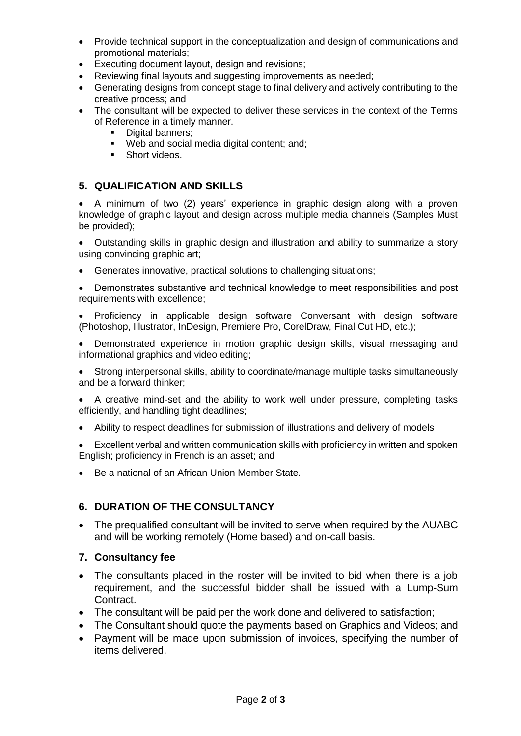- Provide technical support in the conceptualization and design of communications and promotional materials;
- Executing document layout, design and revisions;
- Reviewing final layouts and suggesting improvements as needed;
- Generating designs from concept stage to final delivery and actively contributing to the creative process; and
- The consultant will be expected to deliver these services in the context of the Terms of Reference in a timely manner.
	- Digital banners:
	- Web and social media digital content; and:
	- **Short videos.**

### **5. QUALIFICATION AND SKILLS**

 A minimum of two (2) years' experience in graphic design along with a proven knowledge of graphic layout and design across multiple media channels (Samples Must be provided);

 Outstanding skills in graphic design and illustration and ability to summarize a story using convincing graphic art:

Generates innovative, practical solutions to challenging situations;

 Demonstrates substantive and technical knowledge to meet responsibilities and post requirements with excellence;

- Proficiency in applicable design software Conversant with design software (Photoshop, Illustrator, InDesign, Premiere Pro, CorelDraw, Final Cut HD, etc.);
- Demonstrated experience in motion graphic design skills, visual messaging and informational graphics and video editing;

 Strong interpersonal skills, ability to coordinate/manage multiple tasks simultaneously and be a forward thinker;

- A creative mind-set and the ability to work well under pressure, completing tasks efficiently, and handling tight deadlines;
- Ability to respect deadlines for submission of illustrations and delivery of models
- Excellent verbal and written communication skills with proficiency in written and spoken English; proficiency in French is an asset; and
- Be a national of an African Union Member State.

### **6. DURATION OF THE CONSULTANCY**

• The prequalified consultant will be invited to serve when required by the AUABC and will be working remotely (Home based) and on-call basis.

#### **7. Consultancy fee**

- The consultants placed in the roster will be invited to bid when there is a job requirement, and the successful bidder shall be issued with a Lump-Sum Contract.
- The consultant will be paid per the work done and delivered to satisfaction;
- The Consultant should quote the payments based on Graphics and Videos; and
- Payment will be made upon submission of invoices, specifying the number of items delivered.